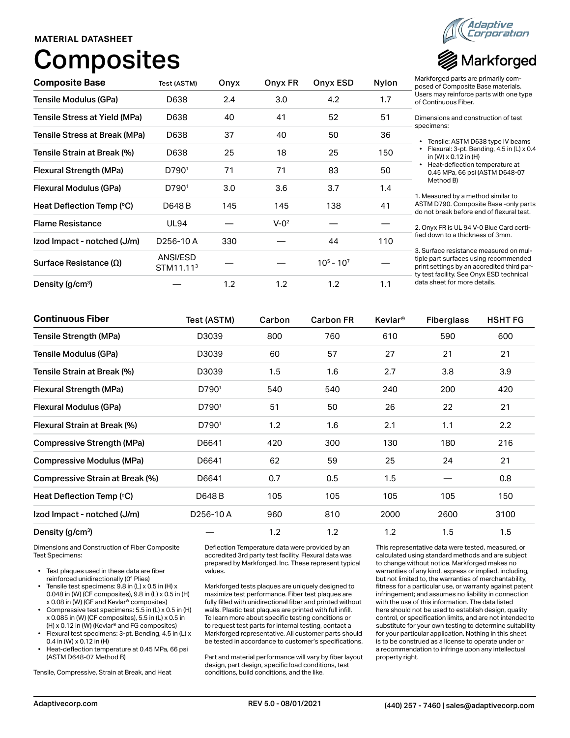### **MATERIAL DATASHEET**

# Composites



| <b>Composite Base</b>         | Test (ASTM)                       | Onyx | Onyx FR   | Onyx ESD    | Nylon | Markforged parts are primarily com-<br>posed of Composite Base materials.                                                                                                 |
|-------------------------------|-----------------------------------|------|-----------|-------------|-------|---------------------------------------------------------------------------------------------------------------------------------------------------------------------------|
| Tensile Modulus (GPa)         | D638                              | 2.4  | 3.0       | 4.2         | 1.7   | Users may reinforce parts with one type<br>of Continuous Fiber.                                                                                                           |
| Tensile Stress at Yield (MPa) | D638                              | 40   | 41        | 52          | 51    | Dimensions and construction of test                                                                                                                                       |
| Tensile Stress at Break (MPa) | D638                              | 37   | 40        | 50          | 36    | specimens:<br>Tensile: ASTM D638 type IV beams                                                                                                                            |
| Tensile Strain at Break (%)   | D638                              | 25   | 18        | 25          | 150   | Flexural: 3-pt. Bending, 4.5 in (L) x 0.4<br>in (W) $\times$ 0.12 in (H)                                                                                                  |
| Flexural Strength (MPa)       | D790 <sup>1</sup>                 | 71   | 71        | 83          | 50    | Heat-deflection temperature at<br>0.45 MPa, 66 psi (ASTM D648-07                                                                                                          |
| Flexural Modulus (GPa)        | D790 <sup>1</sup>                 | 3.0  | 3.6       | 3.7         | 1.4   | Method B)<br>1. Measured by a method similar to                                                                                                                           |
| Heat Deflection Temp (°C)     | D648 B                            | 145  | 145       | 138         | 41    | ASTM D790. Composite Base -only parts<br>do not break before end of flexural test.                                                                                        |
| <b>Flame Resistance</b>       | <b>UL94</b>                       |      | $V - 0^2$ |             |       | 2. Onyx FR is UL 94 V-0 Blue Card certi-                                                                                                                                  |
| Izod Impact - notched (J/m)   | D <sub>256</sub> -10A             | 330  |           | 44          | 110   | fied down to a thickness of 3mm.                                                                                                                                          |
| Surface Resistance $(\Omega)$ | ANSI/ESD<br>STM11.11 <sup>3</sup> |      |           | $105 - 107$ |       | 3. Surface resistance measured on mul-<br>tiple part surfaces using recommended<br>print settings by an accredited third par-<br>ty test facility. See Onyx ESD technical |
| Density (g/cm <sup>3</sup> )  |                                   | 1.2  | 1.2       | 1.2         | 1.1   | data sheet for more details.                                                                                                                                              |

| <b>Continuous Fiber</b>           | Test (ASTM)       | Carbon<br>800<br>60 | <b>Carbon FR</b><br>760<br>57 | <b>Kevlar</b> <sup>®</sup><br>610<br>27 | <b>Fiberglass</b><br>590<br>21 | <b>HSHT FG</b><br>600<br>21 |
|-----------------------------------|-------------------|---------------------|-------------------------------|-----------------------------------------|--------------------------------|-----------------------------|
| <b>Tensile Strength (MPa)</b>     | D3039             |                     |                               |                                         |                                |                             |
| Tensile Modulus (GPa)             | D3039             |                     |                               |                                         |                                |                             |
| Tensile Strain at Break (%)       | D3039             | 1.5                 | 1.6                           | 2.7                                     | 3.8                            | 3.9                         |
| Flexural Strength (MPa)           | D790 <sup>1</sup> | 540                 | 540                           | 240                                     | 200                            | 420                         |
| Flexural Modulus (GPa)            | D7901             | 51                  | 50                            | 26                                      | 22                             | 21                          |
| Flexural Strain at Break (%)      | D790 <sup>1</sup> | 1.2                 | 1.6                           | 2.1                                     | 1.1                            | 2.2                         |
| <b>Compressive Strength (MPa)</b> | D6641             | 420                 | 300                           | 130                                     | 180                            | 216                         |
| <b>Compressive Modulus (MPa)</b>  | D6641             | 62                  | 59                            | 25                                      | 24                             | 21                          |
| Compressive Strain at Break (%)   | D6641             | 0.7                 | 0.5                           | 1.5                                     |                                | 0.8                         |
| Heat Deflection Temp (°C)         | D648 B            | 105                 | 105                           | 105                                     | 105                            | 150                         |
| Izod Impact - notched (J/m)       | D256-10A          |                     | 810                           | 2000                                    | 2600                           | 3100                        |
| Density (g/cm <sup>3</sup> )      |                   | 1.2                 | 1.2                           | 1.2                                     | 1.5                            | 1.5                         |

Dimensions and Construction of Fiber Composite Test Specimens:

- Test plaques used in these data are fiber reinforced unidirectionally (0° Plies)
- Tensile test specimens: 9.8 in (L) x 0.5 in (H) x 0.048 in (W) (CF composites), 9.8 in (L) x 0.5 in (H) x 0.08 in (W) (GF and Kevlar® composites)
- Compressive test specimens: 5.5 in (L) x 0.5 in (H) x 0.085 in (W) (CF composites), 5.5 in (L) x 0.5 in (H) x 0.12 in (W) (Kevlar® and FG composites)
- Flexural test specimens: 3-pt. Bending, 4.5 in (L) x 0.4 in (W) x 0.12 in (H)
- Heat-deflection temperature at 0.45 MPa, 66 psi (ASTM D648-07 Method B)

Tensile, Compressive, Strain at Break, and Heat

Deflection Temperature data were provided by an accredited 3rd party test facility. Flexural data was prepared by Markforged. Inc. These represent typical values.

Markforged tests plaques are uniquely designed to maximize test performance. Fiber test plaques are fully filled with unidirectional fiber and printed without walls. Plastic test plaques are printed with full infill. To learn more about specific testing conditions or to request test parts for internal testing, contact a Markforged representative. All customer parts should be tested in accordance to customer's specifications.

Part and material performance will vary by fiber layout design, part design, specific load conditions, test conditions, build conditions, and the like.

This representative data were tested, measured, or calculated using standard methods and are subject to change without notice. Markforged makes no warranties of any kind, express or implied, including, but not limited to, the warranties of merchantability, fitness for a particular use, or warranty against patent infringement; and assumes no liability in connection with the use of this information. The data listed here should not be used to establish design, quality control, or specification limits, and are not intended to substitute for your own testing to determine suitability for your particular application. Nothing in this sheet is to be construed as a license to operate under or a recommendation to infringe upon any intellectual property right.